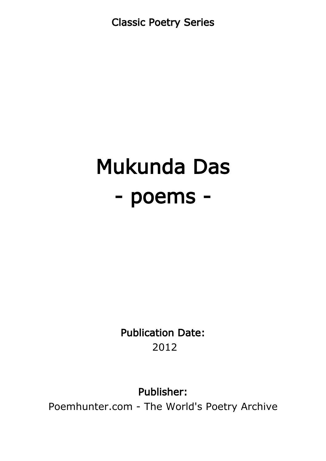Classic Poetry Series

# Mukunda Das - poems -

Publication Date: 2012

Publisher:

Poemhunter.com - The World's Poetry Archive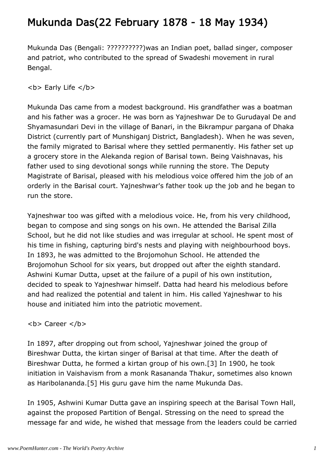### Mukunda Das(22 February 1878 - 18 May 1934)

Mukunda Das (Bengali: ??????????)was an Indian poet, ballad singer, composer and patriot, who contributed to the spread of Swadeshi movement in rural Bengal.

**<b> Early Life </b>** 

Mukunda Das came from a modest background. His grandfather was a boatman and his father was a grocer. He was born as Yajneshwar De to Gurudayal De and Shyamasundari Devi in the village of Banari, in the Bikrampur pargana of Dhaka District (currently part of Munshiganj District, Bangladesh). When he was seven, the family migrated to Barisal where they settled permanently. His father set up a grocery store in the Alekanda region of Barisal town. Being Vaishnavas, his father used to sing devotional songs while running the store. The Deputy Magistrate of Barisal, pleased with his melodious voice offered him the job of an orderly in the Barisal court. Yajneshwar's father took up the job and he began to run the store.

Yajneshwar too was gifted with a melodious voice. He, from his very childhood, began to compose and sing songs on his own. He attended the Barisal Zilla School, but he did not like studies and was irregular at school. He spent most of his time in fishing, capturing bird's nests and playing with neighbourhood boys. In 1893, he was admitted to the Brojomohun School. He attended the Brojomohun School for six years, but dropped out after the eighth standard. Ashwini Kumar Dutta, upset at the failure of a pupil of his own institution, decided to speak to Yajneshwar himself. Datta had heard his melodious before and had realized the potential and talent in him. His called Yajneshwar to his house and initiated him into the patriotic movement.

#### <b> Career </b>

In 1897, after dropping out from school, Yajneshwar joined the group of Bireshwar Dutta, the kirtan singer of Barisal at that time. After the death of Bireshwar Dutta, he formed a kirtan group of his own.[3] In 1900, he took initiation in Vaishavism from a monk Rasananda Thakur, sometimes also known as Haribolananda.[5] His guru gave him the name Mukunda Das.

In 1905, Ashwini Kumar Dutta gave an inspiring speech at the Barisal Town Hall, against the proposed Partition of Bengal. Stressing on the need to spread the message far and wide, he wished that message from the leaders could be carried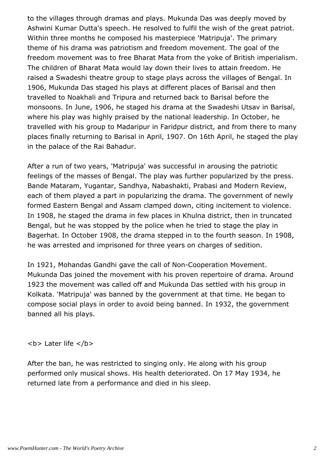to the villages through dramas and plays. Mukunda Das was deeply moved by Ashwini Kumar Dutta's speech. He resolved to fulfil the wish of the great patriot. Within three months he composed his masterpiece 'Matripuja'. The primary theme of his drama was patriotism and freedom movement. The goal of the freedom movement was to free Bharat Mata from the yoke of British imperialism. The children of Bharat Mata would lay down their lives to attain freedom. He raised a Swadeshi theatre group to stage plays across the villages of Bengal. In 1906, Mukunda Das staged his plays at different places of Barisal and then travelled to Noakhali and Tripura and returned back to Barisal before the monsoons. In June, 1906, he staged his drama at the Swadeshi Utsav in Barisal, where his play was highly praised by the national leadership. In October, he travelled with his group to Madaripur in Faridpur district, and from there to many places finally returning to Barisal in April, 1907. On 16th April, he staged the play in the palace of the Rai Bahadur.

After a run of two years, 'Matripuja' was successful in arousing the patriotic feelings of the masses of Bengal. The play was further popularized by the press. Bande Mataram, Yugantar, Sandhya, Nabashakti, Prabasi and Modern Review, each of them played a part in popularizing the drama. The government of newly formed Eastern Bengal and Assam clamped down, citing incitement to violence. In 1908, he staged the drama in few places in Khulna district, then in truncated Bengal, but he was stopped by the police when he tried to stage the play in Bagerhat. In October 1908, the drama stepped in to the fourth season. In 1908, he was arrested and imprisoned for three years on charges of sedition.

In 1921, Mohandas Gandhi gave the call of Non-Cooperation Movement. Mukunda Das joined the movement with his proven repertoire of drama. Around 1923 the movement was called off and Mukunda Das settled with his group in Kolkata. 'Matripuja' was banned by the government at that time. He began to compose social plays in order to avoid being banned. In 1932, the government banned all his plays.

<b> Later life </b>

After the ban, he was restricted to singing only. He along with his group performed only musical shows. His health deteriorated. On 17 May 1934, he returned late from a performance and died in his sleep.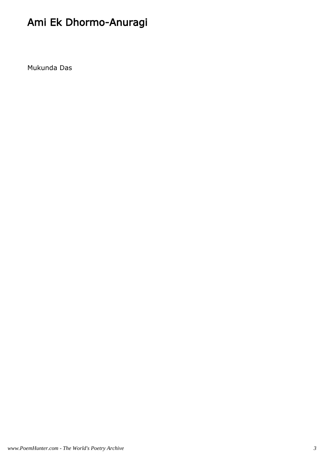# Ami Ek Dhormo-Anuragi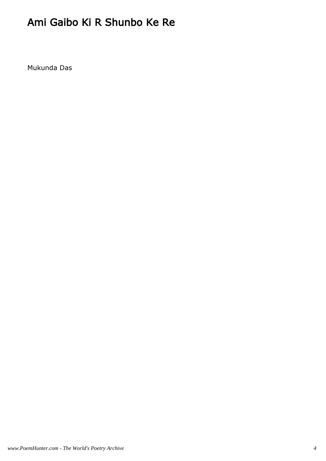# Ami Gaibo Ki R Shunbo Ke Re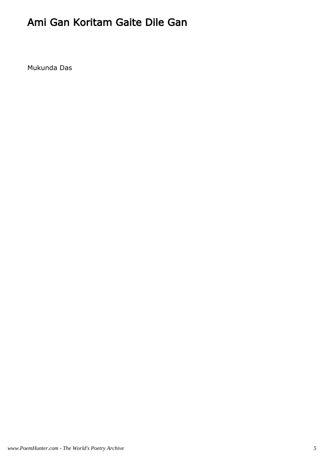#### Ami Gan Koritam Gaite Dile Gan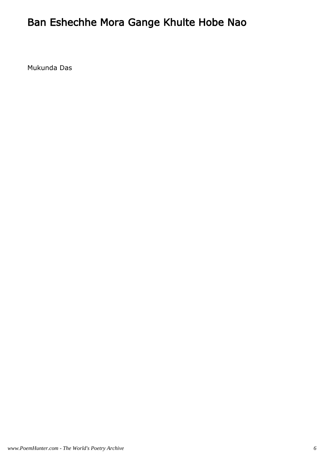# Ban Eshechhe Mora Gange Khulte Hobe Nao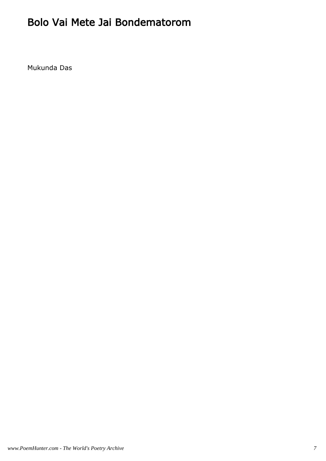#### Bolo Vai Mete Jai Bondematorom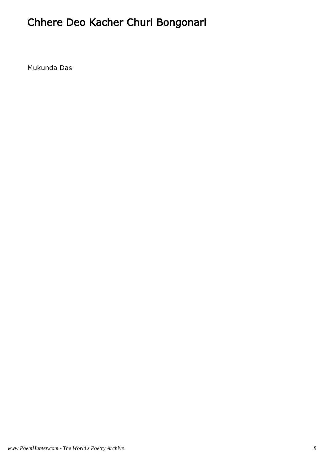# Chhere Deo Kacher Churi Bongonari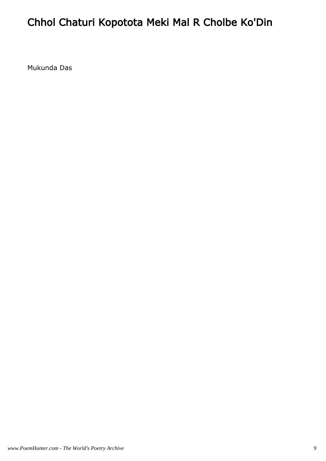# Chhol Chaturi Kopotota Meki Mal R Cholbe Ko'Din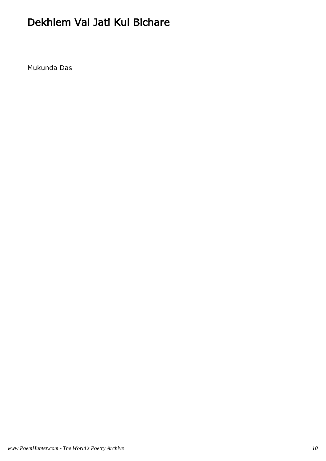#### Dekhlem Vai Jati Kul Bichare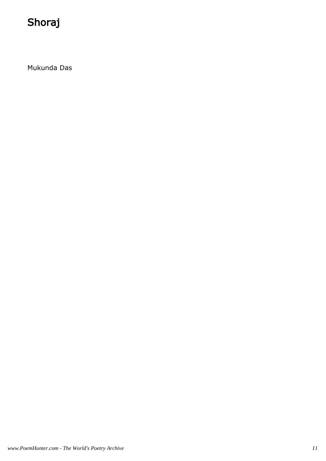# Shoraj